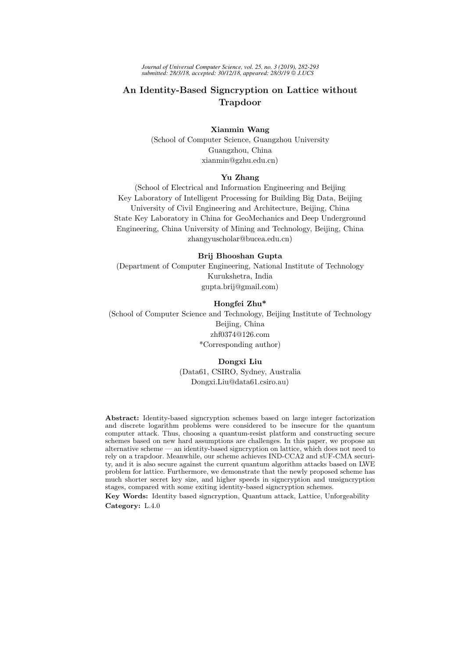*Journal of Universal Computer Science, vol. 25, no. 3 (2019), 282-293 submitted: 28/3/18, accepted: 30/12/18, appeared: 28/3/19 J.UCS*

# An Identity-Based Signcryption on Lattice without Trapdoor

### Xianmin Wang

(School of Computer Science, Guangzhou University Guangzhou, China xianmin@gzhu.edu.cn)

### Yu Zhang

(School of Electrical and Information Engineering and Beijing Key Laboratory of Intelligent Processing for Building Big Data, Beijing University of Civil Engineering and Architecture, Beijing, China State Key Laboratory in China for GeoMechanics and Deep Underground Engineering, China University of Mining and Technology, Beijing, China zhangyuscholar@bucea.edu.cn)

### Brij Bhooshan Gupta

(Department of Computer Engineering, National Institute of Technology Kurukshetra, India gupta.brij@gmail.com)

### Hongfei Zhu\*

(School of Computer Science and Technology, Beijing Institute of Technology Beijing, China zhf0374@126.com \*Corresponding author)

#### Dongxi Liu

(Data61, CSIRO, Sydney, Australia Dongxi.Liu@data61.csiro.au)

Abstract: Identity-based signcryption schemes based on large integer factorization and discrete logarithm problems were considered to be insecure for the quantum computer attack. Thus, choosing a quantum-resist platform and constructing secure schemes based on new hard assumptions are challenges. In this paper, we propose an alternative scheme — an identity-based signcryption on lattice, which does not need to rely on a trapdoor. Meanwhile, our scheme achieves IND-CCA2 and sUF-CMA security, and it is also secure against the current quantum algorithm attacks based on LWE problem for lattice. Furthermore, we demonstrate that the newly proposed scheme has much shorter secret key size, and higher speeds in signcryption and unsigncryption stages, compared with some exiting identity-based signcryption schemes.

Key Words: Identity based signcryption, Quantum attack, Lattice, Unforgeability Category: L.4.0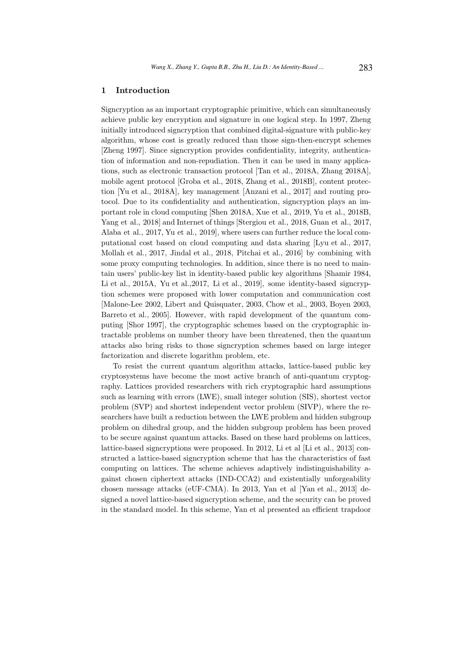### 1 Introduction

Signcryption as an important cryptographic primitive, which can simultaneously achieve public key encryption and signature in one logical step. In 1997, Zheng initially introduced signcryption that combined digital-signature with public-key algorithm, whose cost is greatly reduced than those sign-then-encrypt schemes [Zheng 1997]. Since signcryption provides confidentiality, integrity, authentication of information and non-repudiation. Then it can be used in many applications, such as electronic transaction protocol [Tan et al., 2018A, Zhang 2018A], mobile agent protocol [Groba et al., 2018, Zhang et al., 2018B], content protection [Yu et al., 2018A], key management [Anzani et al., 2017] and routing protocol. Due to its confidentiality and authentication, signcryption plays an important role in cloud computing [Shen 2018A, Xue et al., 2019, Yu et al., 2018B, Yang et al., 2018] and Internet of things [Stergiou et al., 2018, Guan et al., 2017, Alaba et al., 2017, Yu et al., 2019], where users can further reduce the local computational cost based on cloud computing and data sharing [Lyu et al., 2017, Mollah et al., 2017, Jindal et al., 2018, Pitchai et al., 2016] by combining with some proxy computing technologies. In addition, since there is no need to maintain users' public-key list in identity-based public key algorithms [Shamir 1984, Li et al., 2015A, Yu et al., 2017, Li et al., 2019, some identity-based signcryption schemes were proposed with lower computation and communication cost [Malone-Lee 2002, Libert and Quisquater, 2003, Chow et al., 2003, Boyen 2003, Barreto et al., 2005]. However, with rapid development of the quantum computing [Shor 1997], the cryptographic schemes based on the cryptographic intractable problems on number theory have been threatened, then the quantum attacks also bring risks to those signcryption schemes based on large integer factorization and discrete logarithm problem, etc.

To resist the current quantum algorithm attacks, lattice-based public key cryptosystems have become the most active branch of anti-quantum cryptography. Lattices provided researchers with rich cryptographic hard assumptions such as learning with errors (LWE), small integer solution (SIS), shortest vector problem (SVP) and shortest independent vector problem (SIVP), where the researchers have built a reduction between the LWE problem and hidden subgroup problem on dihedral group, and the hidden subgroup problem has been proved to be secure against quantum attacks. Based on these hard problems on lattices, lattice-based signcryptions were proposed. In 2012, Li et al [Li et al., 2013] constructed a lattice-based signcryption scheme that has the characteristics of fast computing on lattices. The scheme achieves adaptively indistinguishability against chosen ciphertext attacks (IND-CCA2) and existentially unforgeability chosen message attacks (eUF-CMA). In 2013, Yan et al [Yan et al., 2013] designed a novel lattice-based signcryption scheme, and the security can be proved in the standard model. In this scheme, Yan et al presented an efficient trapdoor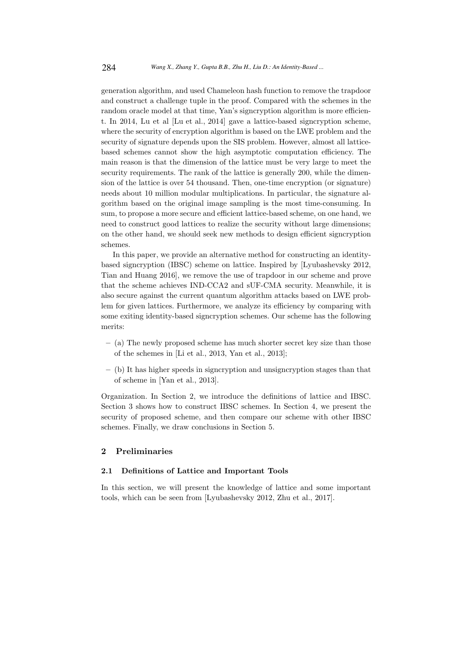generation algorithm, and used Chameleon hash function to remove the trapdoor and construct a challenge tuple in the proof. Compared with the schemes in the random oracle model at that time, Yan's signcryption algorithm is more efficient. In 2014, Lu et al [Lu et al., 2014] gave a lattice-based signcryption scheme, where the security of encryption algorithm is based on the LWE problem and the security of signature depends upon the SIS problem. However, almost all latticebased schemes cannot show the high asymptotic computation efficiency. The main reason is that the dimension of the lattice must be very large to meet the security requirements. The rank of the lattice is generally 200, while the dimension of the lattice is over 54 thousand. Then, one-time encryption (or signature) needs about 10 million modular multiplications. In particular, the signature algorithm based on the original image sampling is the most time-consuming. In sum, to propose a more secure and efficient lattice-based scheme, on one hand, we need to construct good lattices to realize the security without large dimensions; on the other hand, we should seek new methods to design efficient signcryption schemes.

In this paper, we provide an alternative method for constructing an identitybased signcryption (IBSC) scheme on lattice. Inspired by [Lyubashevsky 2012, Tian and Huang 2016], we remove the use of trapdoor in our scheme and prove that the scheme achieves IND-CCA2 and sUF-CMA security. Meanwhile, it is also secure against the current quantum algorithm attacks based on LWE problem for given lattices. Furthermore, we analyze its efficiency by comparing with some exiting identity-based signcryption schemes. Our scheme has the following merits:

- (a) The newly proposed scheme has much shorter secret key size than those of the schemes in [Li et al., 2013, Yan et al., 2013];
- (b) It has higher speeds in signcryption and unsigncryption stages than that of scheme in [Yan et al., 2013].

Organization. In Section 2, we introduce the definitions of lattice and IBSC. Section 3 shows how to construct IBSC schemes. In Section 4, we present the security of proposed scheme, and then compare our scheme with other IBSC schemes. Finally, we draw conclusions in Section 5.

### 2 Preliminaries

#### 2.1 Definitions of Lattice and Important Tools

In this section, we will present the knowledge of lattice and some important tools, which can be seen from [Lyubashevsky 2012, Zhu et al., 2017].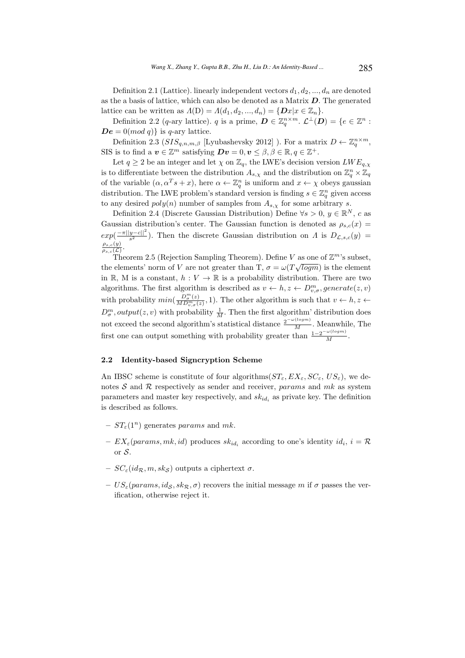Definition 2.1 (Lattice). linearly independent vectors  $d_1, d_2, ..., d_n$  are denoted as the a basis of lattice, which can also be denoted as a Matrix  $\bm{D}$ . The generated lattice can be written as  $\Lambda(D) = \Lambda(d_1, d_2, ..., d_n) = \{Dx | x \in \mathbb{Z}_n\}.$ 

Definition 2.2 (q-ary lattice). q is a prime,  $\mathbf{D} \in \mathbb{Z}_q^{n \times m}$ .  $\mathcal{L}^{\perp}(\mathbf{D}) = \{e \in \mathbb{Z}^n :$  $\boldsymbol{De} = 0 \pmod{q}$  is q-ary lattice.

Definition 2.3  $(SIS_{q,n,m,\beta}$  [Lyubashevsky 2012] ). For a matrix  $D \leftarrow \mathbb{Z}_q^{n \times m}$ , SIS is to find a  $\boldsymbol{v} \in \mathbb{Z}^m$  satisfying  $\boldsymbol{D}\boldsymbol{v} = 0, \boldsymbol{v} \leq \beta, \beta \in \mathbb{R}, q \in \mathbb{Z}^+$ .

Let  $q \ge 2$  be an integer and let  $\chi$  on  $\mathbb{Z}_q$ , the LWE's decision version  $LWE_{q,\chi}$ is to differentiate between the distribution  $A_{s,\chi}$  and the distribution on  $\mathbb{Z}_q^n \times \mathbb{Z}_q$ of the variable  $(\alpha, \alpha^T s + x)$ , here  $\alpha \leftarrow \mathbb{Z}_q^n$  is uniform and  $x \leftarrow \chi$  obeys gaussian distribution. The LWE problem's standard version is finding  $s \in \mathbb{Z}_q^n$  given access to any desired  $poly(n)$  number of samples from  $A_{s,y}$  for some arbitrary s.

Definition 2.4 (Discrete Gaussian Distribution) Define  $\forall s > 0, y \in \mathbb{R}^N$ , c as Gaussian distribution's center. The Gaussian function is denoted as  $\rho_{s,c}(x)$  $exp(\frac{-\pi ||y-c||^2}{s^2})$  $\frac{y-c_{||}}{s^2}$ ). Then the discrete Gaussian distribution on  $\Lambda$  is  $D_{\mathcal{L},s,c}(y)$  =  $\rho_{s,c}(y)$  $\frac{\rho_{s,c}(y)}{\rho_{s,c}(\mathcal{L})}$ .

Theorem 2.5 (Rejection Sampling Theorem). Define V as one of  $\mathbb{Z}^m$ 's subset, the elements' norm of V are not greater than T,  $\sigma = \omega(T\sqrt{logm})$  is the element √ in R, M is a constant,  $h: V \to \mathbb{R}$  is a probability distribution. There are two algorithms. The first algorithm is described as  $v \leftarrow h, z \leftarrow D_{v, \sigma}^m, generate(z, v)$ with probability  $min(\frac{D_{\sigma}^{m}(z)}{MDm})$  $\frac{D_{\sigma}(z)}{MD_{v,\sigma}^{m}(z)}$ , 1). The other algorithm is such that  $v \leftarrow h, z \leftarrow$  $D_{\sigma}^{m}$ , *output*(*z*, *v*) with probability  $\frac{1}{M}$ . Then the first algorithm' distribution does not exceed the second algorithm's statistical distance  $\frac{2^{-\omega(logm)}}{M}$ . Meanwhile, The first one can output something with probability greater than  $\frac{1-2^{-\omega(log m)}}{M}$ .

#### 2.2 Identity-based Signcryption Scheme

An IBSC scheme is constitute of four algorithms  $ST_{\varepsilon}, EX_{\varepsilon}, SC_{\varepsilon}, US_{\varepsilon}$ , we denotes  $S$  and  $R$  respectively as sender and receiver, params and mk as system parameters and master key respectively, and  $sk_{id_i}$  as private key. The definition is described as follows.

- $ST_{\varepsilon}(1^n)$  generates params and mk.
- $EX_{\varepsilon}(params, mk, id)$  produces  $sk_{id_i}$  according to one's identity  $id_i$ ,  $i = \mathcal{R}$ or S.
- $-SC_{\varepsilon}(id_{\mathcal{R}}, m, sk_{\mathcal{S}})$  outputs a ciphertext  $\sigma$ .
- $-US_{\varepsilon}(\text{params}, \text{id}_{\mathcal{S}}, \text{sk}_{\mathcal{R}}, \sigma)$  recovers the initial message m if  $\sigma$  passes the verification, otherwise reject it.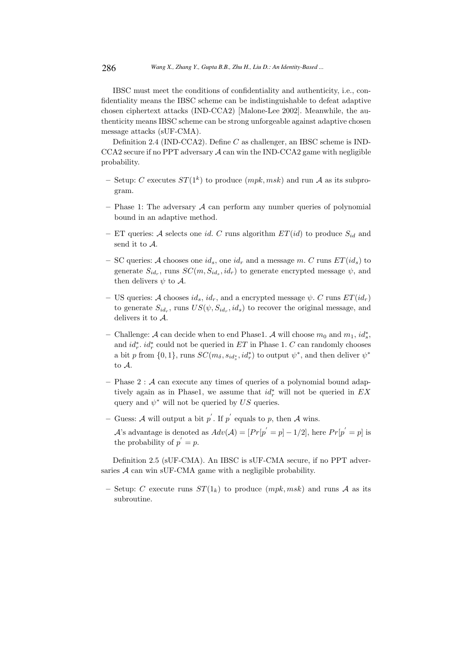IBSC must meet the conditions of confidentiality and authenticity, i.e., confidentiality means the IBSC scheme can be indistinguishable to defeat adaptive chosen ciphertext attacks (IND-CCA2) [Malone-Lee 2002]. Meanwhile, the authenticity means IBSC scheme can be strong unforgeable against adaptive chosen message attacks (sUF-CMA).

Definition 2.4 (IND-CCA2). Define C as challenger, an IBSC scheme is IND- $CCA2$  secure if no PPT adversary  $A$  can win the IND-CCA2 game with negligible probability.

- Setup: C executes  $ST(1^k)$  to produce  $(mpk, msk)$  and run A as its subprogram.
- Phase 1: The adversary  $A$  can perform any number queries of polynomial bound in an adaptive method.
- ET queries: A selects one id. C runs algorithm  $ET(id)$  to produce  $S_{id}$  and send it to A.
- SC queries: A chooses one  $id_s$ , one  $id_r$  and a message m. C runs  $ET(id_s)$  to generate  $S_{id_r}$ , runs  $SC(m, S_{id_s}, id_r)$  to generate encrypted message  $\psi$ , and then delivers  $\psi$  to A.
- US queries: A chooses  $id_s$ ,  $id_r$ , and a encrypted message  $\psi$ . C runs  $ET(id_r)$ to generate  $S_{id_r}$ , runs  $US(\psi, S_{id_r}, id_s)$  to recover the original message, and delivers it to A.
- − Challenge: A can decide when to end Phase1. A will choose  $m_0$  and  $m_1$ ,  $id_s^*$ , and  $id_r^*$ .  $id_r^*$  could not be queried in  $ET$  in Phase 1. C can randomly chooses a bit p from  $\{0,1\}$ , runs  $SC(m_\delta, s_{id_s^*}, id_r^*)$  to output  $\psi^*$ , and then deliver  $\psi^*$ to A.
- Phase  $2: A$  can execute any times of queries of a polynomial bound adaptively again as in Phase1, we assume that  $id_r^*$  will not be queried in  $EX$ query and  $\psi^*$  will not be queried by US queries.
- Guess: A will output a bit  $p'$ . If  $p'$  equals to p, then A wins.

A's advantage is denoted as  $Adv(\mathcal{A}) = [Pr[p^{'} = p] - 1/2]$ , here  $Pr[p^{'} = p]$  is the probability of  $p' = p$ .

Definition 2.5 (sUF-CMA). An IBSC is sUF-CMA secure, if no PPT adversaries A can win sUF-CMA game with a negligible probability.

– Setup: C execute runs  $ST(1_k)$  to produce  $(mpk, msk)$  and runs A as its subroutine.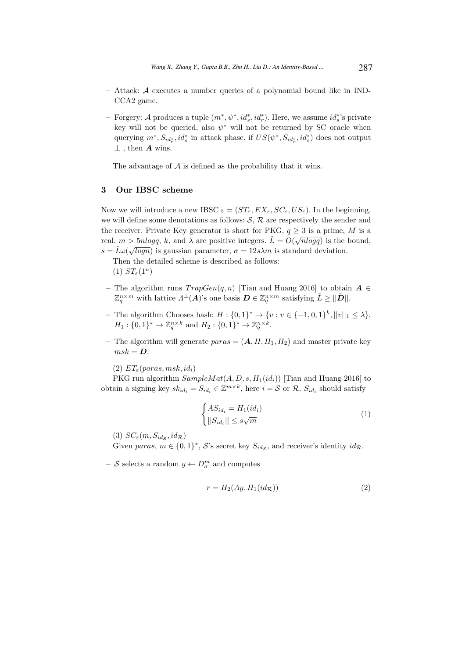- Attack: A executes a number queries of a polynomial bound like in IND-CCA<sub>2</sub> game.
- − Forgery: A produces a tuple  $(m^*, \psi^*, id^*, id^*_{r})$ . Here, we assume  $id^*_{s}$ 's private key will not be queried, also  $\psi^*$  will not be returned by SC oracle when querying  $m^*, S_{id_r^*}, id_s^*$  in attack phase. if  $US(\psi^*, S_{id_r^*}, id_s^*)$  does not output  $\perp$ , then **A** wins.

The advantage of  $A$  is defined as the probability that it wins.

#### 3 Our IBSC scheme

Now we will introduce a new IBSC  $\varepsilon = (ST_{\varepsilon}, EX_{\varepsilon}, SC_{\varepsilon}, US_{\varepsilon})$ . In the beginning, we will define some denotations as follows:  $S$ ,  $R$  are respectively the sender and the receiver. Private Key generator is short for PKG,  $q \geq 3$  is a prime, M is a real.  $m > 5nlogq$ , k, and  $\lambda$  are positive integers.  $\tilde{L} = O(\sqrt{nlogq})$  is the bound,  $s = \tilde{L}\omega(\sqrt{logn})$  is gaussian parameter,  $\sigma = 12s\lambda m$  is standard deviation.

Then the detailed scheme is described as follows:  $(1) ST<sub>\epsilon</sub>(1<sup>n</sup>)$ 

- The algorithm runs  $TrapGen(q, n)$  [Tian and Huang 2016] to obtain  $A \in$  $\mathbb{Z}_q^{n \times m}$  with lattice  $\Lambda^{\perp}(A)$ 's one basis  $\mathbf{D} \in \mathbb{Z}_q^{n \times m}$  satisfying  $\tilde{L} \ge ||\tilde{D}||$ .
- The algorithm Chooses hash:  $H: \{0, 1\}^*$  →  $\{v : v \in \{-1, 0, 1\}^k, ||v||_1 ≤ λ\},\$  $H_1: \{0,1\}^* \to \mathbb{Z}_q^{n \times k}$  and  $H_2: \{0,1\}^* \to \mathbb{Z}_q^{n \times k}$ .
- The algorithm will generate  $paras = (A, H, H_1, H_2)$  and master private key  $msk = D.$

 $(2) ET_{\varepsilon}(paras, msk, id_i)$ 

PKG run algorithm  $SampleMat(A, D, s, H_1(id_i))$  [Tian and Huang 2016] to obtain a signing key  $sk_{id_i} = S_{id_i} \in \mathbb{Z}^{m \times k}$ , here  $i = \mathcal{S}$  or  $\mathcal{R}$ .  $S_{id_i}$  should satisfy

$$
\begin{cases} AS_{id_i} = H_1(id_i) \\ ||S_{id_i}|| \le s\sqrt{m} \end{cases} \tag{1}
$$

(3)  $SC_{\varepsilon}(m, S_{id_{\mathcal{S}}}, id_{\mathcal{R}})$ 

Given paras,  $m \in \{0,1\}^*$ , S's secret key  $S_{ids}$ , and receiver's identity  $id_{\mathcal{R}}$ .

– S selects a random  $y \leftarrow D_{\sigma}^{m}$  and computes

$$
r = H_2(Ay, H_1(id_{\mathcal{R}}))
$$
\n<sup>(2)</sup>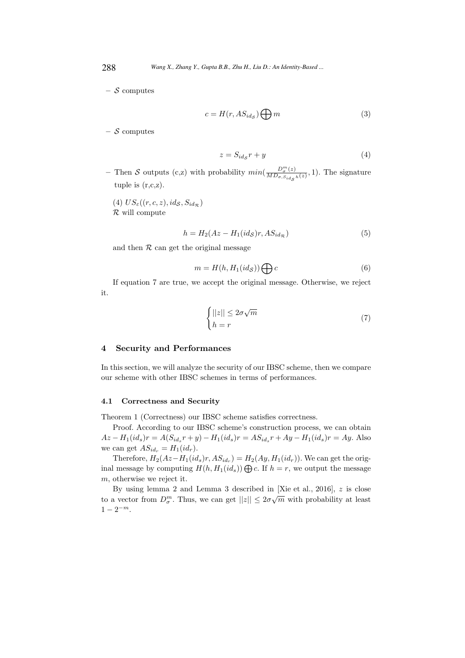–  $S$  computes

$$
c = H(r, AS_{ids}) \bigoplus m \tag{3}
$$

 $-$  S computes

$$
z = S_{id_{\mathcal{S}}} r + y \tag{4}
$$

– Then S outputs (c,z) with probability  $min(\frac{D_{\sigma}^{m}(z)}{MD_{\sigma,S_{std}}}$  $\frac{D_{\sigma}(z)}{MD_{\sigma, S_{id}}(z)}$ , 1). The signature tuple is  $(r,c,z)$ .

(4)  $US_{\varepsilon}((r, c, z), id_{\mathcal{S}}, S_{id_{\mathcal{R}}})$  $\mathcal R$  will compute

$$
h = H_2(Az - H_1(id_S)r, AS_{id_R})
$$
\n<sup>(5)</sup>

and then  $R$  can get the original message

$$
m = H(h, H_1(id_{\mathcal{S}})) \bigoplus c \tag{6}
$$

If equation 7 are true, we accept the original message. Otherwise, we reject it.

$$
\begin{cases} ||z|| \le 2\sigma\sqrt{m} \\ h = r \end{cases} \tag{7}
$$

### 4 Security and Performances

In this section, we will analyze the security of our IBSC scheme, then we compare our scheme with other IBSC schemes in terms of performances.

#### 4.1 Correctness and Security

Theorem 1 (Correctness) our IBSC scheme satisfies correctness.

Proof. According to our IBSC scheme's construction process, we can obtain  $Az - H_1(id_s)r = A(S_{id_s}r + y) - H_1(id_s)r = AS_{id_s}r + Ay - H_1(id_s)r = Ay.$  Also we can get  $AS_{id_r} = H_1(id_r)$ .

Therefore,  $H_2(Az-H_1(id_s)r, AS_{id_r}) = H_2(Ay, H_1(id_r))$ . We can get the original message by computing  $H(h, H_1(id_s))\bigoplus c$ . If  $h = r$ , we output the message m, otherwise we reject it.

By using lemma 2 and Lemma 3 described in [Xie et al., 2016],  $z$  is close to a vector from  $D_{\sigma}^{m}$ . Thus, we can get  $||z|| \leq 2\sigma\sqrt{m}$  with probability at least  $1-2^{-m}$ .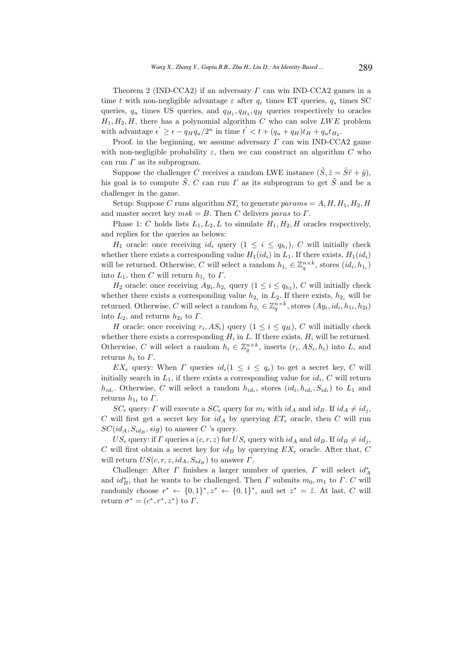Theorem 2 (IND-CCA2) if an adversary  $\Gamma$  can win IND-CCA2 games in a time t with non-negligible advantage  $\varepsilon$  after  $q_e$  times ET queries,  $q_s$  times SC queries,  $q_u$  times US queries, and  $q_{H_1}, q_{H_2}, q_H$  queries respectively to oracles  $H_1, H_2, H$ , there has a polynomial algorithm C who can solve LWE problem with advantage  $\epsilon' \geq \epsilon - q_H q_u/2^n$  in time  $t' < t + (q_u + q_H)t_H + q_u t_{H_2}$ .

Proof. in the beginning, we assume adversary  $\Gamma$  can win IND-CCA2 game with non-negligible probability  $\varepsilon$ , then we can construct an algorithm C who can run  $\Gamma$  as its subprogram.

Suppose the challenger C receives a random LWE instance  $(\tilde{S}, \tilde{z} = \tilde{S}\tilde{r} + \tilde{y})$ , his goal is to compute  $\tilde{S}$ . C can run  $\Gamma$  as its subprogram to get  $\tilde{S}$  and be a challenger in the game.

Setup: Suppose C runs algorithm  $ST_{\epsilon}$  to generate params = A, H, H<sub>1</sub>, H<sub>2</sub>, H and master secret key  $msk = B$ . Then C delivers paras to  $\Gamma$ .

Phase 1: C holds lists  $L_1, L_2, L$  to simulate  $H_1, H_2, H$  oracles respectively, and replies for the queries as belows:

 $H_1$  oracle: once receiving  $id_i$  query  $(1 \leq i \leq q_{h_1}), C$  will initially check whether there exists a corresponding value  $H_1(id_i)$  in  $L_1$ . If there exists,  $H_1(id_i)$ will be returned. Otherwise, C will select a random  $h_{1_i}\in \mathbb{Z}_q^{n\times k},$  stores  $(id_i,h_{1_i})$ into  $L_1$ , then C will return  $h_{1_i}$  to  $\Gamma$ .

 $H_2$  oracle: once receiving  $Ay_i, h_{2_i}$  query  $(1 \leq i \leq q_{h_2}), C$  will initially check whether there exists a corresponding value  $h_{2_i}$  in  $L_2$ . If there exists,  $h_{2_i}$  will be returned. Otherwise, C will select a random  $h_{2_i} \in \mathbb{Z}_q^{n \times k}$ , stores  $(Ay_i, id_i, h_{1i}, h_{2i})$ into  $L_2$ , and returns  $h_{2i}$  to  $\Gamma$ .

*H* oracle: once receiving  $r_i$ ,  $AS_i$ ) query  $(1 \leq i \leq q_H)$ , *C* will initially check whether there exists a corresponding  $H_i$  in L. If there exists,  $H_i$  will be returned. Otherwise, C will select a random  $h_i \in \mathbb{Z}_q^{n \times k}$ , inserts  $(r_i, AS_i, h_i)$  into L, and returns  $h_i$  to  $\Gamma$ .

 $EX_{\epsilon}$  query: When  $\Gamma$  queries  $id_i(1 \leq i \leq q_e)$  to get a secret key,  $C$  will initially search in  $L_1$ , if there exists a corresponding value for  $id_i$ , C will return  $h_{id_i}$ . Otherwise, C will select a random  $h_{id_i}$ , stores  $(id_i, h_{id_i}, S_{id_i})$  to  $L_1$  and returns  $h_{1i}$  to  $\Gamma$ .

 $SC_{\epsilon}$  query:  $\Gamma$  will execute a  $SC_{\epsilon}$  query for  $m_i$  with  $id_A$  and  $id_B$ . If  $id_A \neq id_j$ , C will first get a secret key for  $id_A$  by querying  $ET_{\epsilon}$  oracle, then C will run  $SC(id_A, S_{id_B}, sig)$  to answer C 's query.

 $US_{\epsilon}$  query: if  $\Gamma$  queries a  $(c, r, z)$  for  $US_{\epsilon}$  query with  $id_A$  and  $id_B$ . If  $id_B \neq id_j$ , C will first obtain a secret key for  $id_B$  by querying  $EX_{\epsilon}$  oracle. After that, C will return  $US(c, r, z, id<sub>A</sub>, S<sub>id<sub>B</sub></sub>)$  to answer  $\Gamma$ .

Challenge: After  $\Gamma$  finishes a larger number of queries,  $\Gamma$  will select  $id_A^*$ and  $id_B^*$ , that he wants to be challenged. Then  $\Gamma$  submits  $m_0, m_1$  to  $\Gamma$ . C will randomly choose  $r^* \leftarrow \{0,1\}^*, z^* \leftarrow \{0,1\}^*$ , and set  $z^* = \tilde{z}$ . At last, C will return  $\sigma^* = (c^*, r^*, z^*)$  to  $\Gamma$ .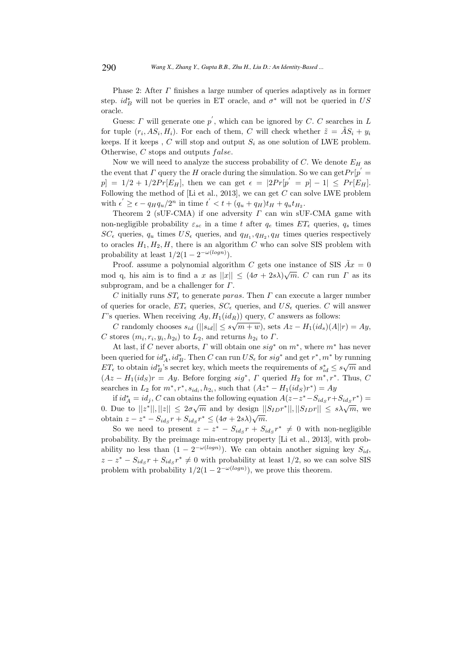Phase 2: After Γ finishes a large number of queries adaptively as in former step.  $id_B^*$  will not be queries in ET oracle, and  $\sigma^*$  will not be queried in US oracle.

Guess:  $\Gamma$  will generate one  $p'$ , which can be ignored by  $C$ .  $C$  searches in  $L$ for tuple  $(r_i, AS_i, H_i)$ . For each of them, C will check whether  $\tilde{z} = \tilde{A}S_i + y_i$ keeps. If it keeps, C will stop and output  $S_i$  as one solution of LWE problem. Otherwise,  $C$  stops and outputs  $false$ .

Now we will need to analyze the success probability of  $C$ . We denote  $E_H$  as the event that  $\Gamma$  query the  $H$  oracle during the simulation. So we can get  $Pr[p' =$  $p] = 1/2 + 1/2Pr[E_H]$ , then we can get  $\epsilon = |2Pr[p' = p] - 1| \leq Pr[E_H]$ . Following the method of  $[Li]$  et al., 2013], we can get C can solve LWE problem with  $\epsilon' \geq \epsilon - q_H q_u/2^n$  in time  $t' < t + (q_u + q_H)t_H + q_u t_{H_2}$ .

Theorem 2 (sUF-CMA) if one adversity  $\Gamma$  can win sUF-CMA game with non-negligible probability  $\varepsilon_{sc}$  in a time t after  $q_e$  times  $ET_{\epsilon}$  queries,  $q_s$  times  $SC_{\epsilon}$  queries,  $q_u$  times  $US_{\epsilon}$  queries, and  $q_{H_1}, q_{H_2}, q_H$  times queries respectively to oracles  $H_1, H_2, H$ , there is an algorithm C who can solve SIS problem with probability at least  $1/2(1-2^{-\omega(log n)}).$ 

Proof. assume a polynomial algorithm C gets one instance of SIS  $Ax = 0$ mod q, his aim is to find a x as  $||x|| \leq (4\sigma + 2s\lambda)\sqrt{m}$ . C can run  $\Gamma$  as its subprogram, and be a challenger for  $\Gamma$ .

C initially runs  $ST_{\epsilon}$  to generate paras. Then  $\Gamma$  can execute a larger number of queries for oracle,  $ET_{\epsilon}$  queries,  $SC_{\epsilon}$  queries, and  $US_{\epsilon}$  queries. C will answer  $\Gamma$ 's queries. When receiving  $Ay$ ,  $H_1(id_R)$ ) query,  $C$  answers as follows:

C randomly chooses  $s_{id}$  ( $||s_{id}|| \leq s\sqrt{m+w}$ ), sets  $Az - H_1(id_s)(A||r) = Ay$ , C stores  $(m_i, r_i, y_i, h_{2i})$  to  $L_2$ , and returns  $h_{2i}$  to  $\Gamma$ .

At last, if C never aborts,  $\Gamma$  will obtain one  $sig^*$  on  $m^*$ , where  $m^*$  has never been queried for  $id_A^*$ ,  $id_B^*$ . Then C can run  $US_{\epsilon}$  for  $sig^*$  and get  $r^*, m^*$  by running  $ET_{\epsilon}$  to obtain  $id_B^*$ 's secret key, which meets the requirements of  $s_{id}^* \leq s\sqrt{m}$  and  $(Az - H_1(id_S)r = Ay$ . Before forging  $sig^*$ ,  $\Gamma$  queried  $H_2$  for  $m^*$ ,  $r^*$ . Thus,  $C$ searches in  $L_2$  for  $m^*, r^*, s_{id_i}, h_{2_i}$ , such that  $(Az^* - H_1(id_S)r^*) = Ay$ 

if  $id_A^* = id_j$ , C can obtains the following equation  $A(z-z^* - S_{id_S}r + S_{id_S}r^*) =$ 0. Due to  $||z^*||, ||z|| \leq 2\sigma\sqrt{m}$  and by design  $||S_{ID}r^*||, ||S_{ID}r|| \leq s\lambda\sqrt{m}$ , we obtain  $z - z^* - S_{id_S}r + S_{id_S}r^* \leq (4\sigma + 2s\lambda)\sqrt{m}$ .

So we need to present  $z - z^* - S_{id_S}r + S_{id_S}r^* \neq 0$  with non-negligible probability. By the preimage min-entropy property [Li et al., 2013], with probability no less than  $(1 - 2^{-\omega(log n)})$ . We can obtain another signing key  $S_{id}$ ,  $z - z^* - S_{id_S}r + S_{id_S}r^* \neq 0$  with probability at least 1/2, so we can solve SIS problem with probability  $1/2(1 - 2^{-\omega(log n)})$ , we prove this theorem.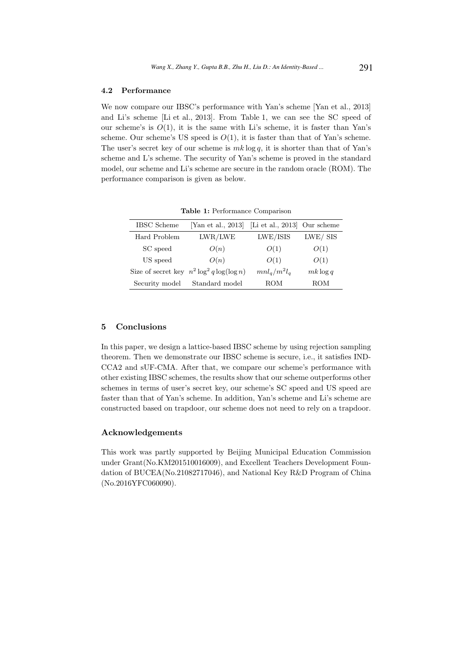### 4.2 Performance

We now compare our IBSC's performance with Yan's scheme [Yan et al., 2013] and Li's scheme [Li et al., 2013]. From Table 1, we can see the SC speed of our scheme's is  $O(1)$ , it is the same with Li's scheme, it is faster than Yan's scheme. Our scheme's US speed is  $O(1)$ , it is faster than that of Yan's scheme. The user's secret key of our scheme is  $mk \log q$ , it is shorter than that of Yan's scheme and L's scheme. The security of Yan's scheme is proved in the standard model, our scheme and Li's scheme are secure in the random oracle (ROM). The performance comparison is given as below.

| <b>IBSC</b> Scheme | [Yan et al., 2013]                             | [Li et al., 2013] Our scheme |             |
|--------------------|------------------------------------------------|------------------------------|-------------|
| Hard Problem       | LWR/LWE                                        | LWE/ISIS                     | LWE/SIS     |
| SC speed           | O(n)                                           | O(1)                         | O(1)        |
| US speed           | O(n)                                           | O(1)                         | O(1)        |
|                    | Size of secret key $n^2 \log^2 q \log(\log n)$ | $mnl_q/m^2l_q$               | $mk \log q$ |
| Security model     | Standard model                                 | <b>ROM</b>                   | <b>ROM</b>  |

Table 1: Performance Comparison

### 5 Conclusions

In this paper, we design a lattice-based IBSC scheme by using rejection sampling theorem. Then we demonstrate our IBSC scheme is secure, i.e., it satisfies IND-CCA2 and sUF-CMA. After that, we compare our scheme's performance with other existing IBSC schemes, the results show that our scheme outperforms other schemes in terms of user's secret key, our scheme's SC speed and US speed are faster than that of Yan's scheme. In addition, Yan's scheme and Li's scheme are constructed based on trapdoor, our scheme does not need to rely on a trapdoor.

### Acknowledgements

This work was partly supported by Beijing Municipal Education Commission under Grant(No.KM201510016009), and Excellent Teachers Development Foundation of BUCEA(No.21082717046), and National Key R&D Program of China (No.2016YFC060090).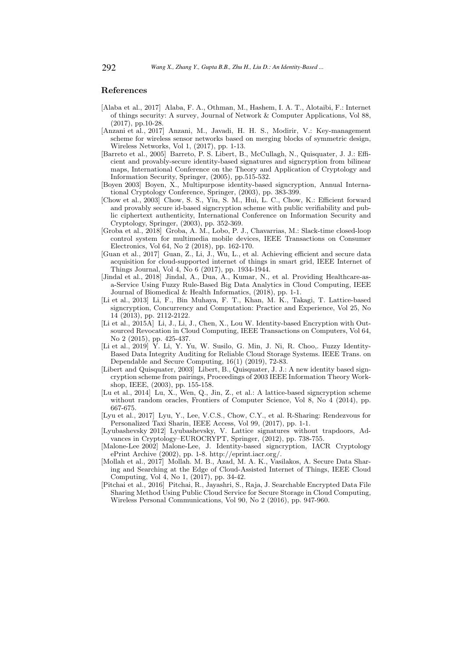## References

- [Alaba et al., 2017] Alaba, F. A., Othman, M., Hashem, I. A. T., Alotaibi, F.: Internet of things security: A survey, Journal of Network & Computer Applications, Vol 88, (2017), pp.10-28.
- [Anzani et al., 2017] Anzani, M., Javadi, H. H. S., Modirir, V.: Key-management scheme for wireless sensor networks based on merging blocks of symmetric design, Wireless Networks, Vol 1, (2017), pp. 1-13.
- [Barreto et al., 2005] Barreto, P. S. Libert, B., McCullagh, N., Quisquater, J. J.: Efficient and provably-secure identity-based signatures and signcryption from bilinear maps, International Conference on the Theory and Application of Cryptology and Information Security, Springer, (2005), pp.515-532.
- [Boyen 2003] Boyen, X., Multipurpose identity-based signcryption, Annual International Cryptology Conference, Springer, (2003), pp. 383-399.
- [Chow et al., 2003] Chow, S. S., Yiu, S. M., Hui, L. C., Chow, K.: Efficient forward and provably secure id-based signcryption scheme with public verifiability and public ciphertext authenticity, International Conference on Information Security and Cryptology, Springer, (2003), pp. 352-369.
- [Groba et al., 2018] Groba, A. M., Lobo, P. J., Chavarrias, M.: Slack-time closed-loop control system for multimedia mobile devices, IEEE Transactions on Consumer Electronics, Vol 64, No 2 (2018), pp. 162-170.
- [Guan et al., 2017] Guan, Z., Li, J., Wu, L., et al. Achieving efficient and secure data acquisition for cloud-supported internet of things in smart grid, IEEE Internet of Things Journal, Vol 4, No 6 (2017), pp. 1934-1944.
- [Jindal et al., 2018] Jindal, A., Dua, A., Kumar, N., et al. Providing Healthcare-asa-Service Using Fuzzy Rule-Based Big Data Analytics in Cloud Computing, IEEE Journal of Biomedical & Health Informatics, (2018), pp. 1-1.
- [Li et al., 2013] Li, F., Bin Muhaya, F. T., Khan, M. K., Takagi, T. Lattice-based signcryption, Concurrency and Computation: Practice and Experience, Vol 25, No 14 (2013), pp. 2112-2122.
- [Li et al., 2015A] Li, J., Li, J., Chen, X., Lou W. Identity-based Encryption with Outsourced Revocation in Cloud Computing, IEEE Transactions on Computers, Vol 64, No 2 (2015), pp. 425-437.
- [Li et al., 2019] Y. Li, Y. Yu, W. Susilo, G. Min, J. Ni, R. Choo,. Fuzzy Identity-Based Data Integrity Auditing for Reliable Cloud Storage Systems. IEEE Trans. on Dependable and Secure Computing, 16(1) (2019), 72-83.
- [Libert and Quisquater, 2003] Libert, B., Quisquater, J. J.: A new identity based signcryption scheme from pairings, Proceedings of 2003 IEEE Information Theory Workshop, IEEE, (2003), pp. 155-158.
- [Lu et al., 2014] Lu, X., Wen, Q., Jin, Z., et al.: A lattice-based signcryption scheme without random oracles, Frontiers of Computer Science, Vol 8, No 4 (2014), pp. 667-675.
- [Lyu et al., 2017] Lyu, Y., Lee, V.C.S., Chow, C.Y., et al. R-Sharing: Rendezvous for Personalized Taxi Sharin, IEEE Access, Vol 99, (2017), pp. 1-1.
- [Lyubashevsky 2012] Lyubashevsky, V. Lattice signatures without trapdoors, Advances in Cryptology–EUROCRYPT, Springer, (2012), pp. 738-755.
- [Malone-Lee 2002] Malone-Lee, J. Identity-based signcryption, IACR Cryptology ePrint Archive (2002), pp. 1-8. http://eprint.iacr.org/.
- [Mollah et al., 2017] Mollah. M. B., Azad, M. A. K., Vasilakos, A. Secure Data Sharing and Searching at the Edge of Cloud-Assisted Internet of Things, IEEE Cloud Computing, Vol 4, No 1, (2017), pp. 34-42.
- [Pitchai et al., 2016] Pitchai, R., Jayashri, S., Raja, J. Searchable Encrypted Data File Sharing Method Using Public Cloud Service for Secure Storage in Cloud Computing, Wireless Personal Communications, Vol 90, No 2 (2016), pp. 947-960.